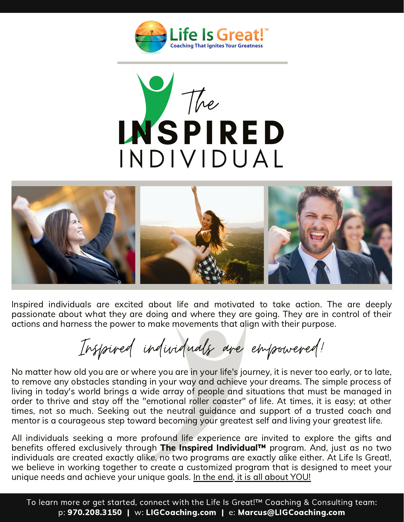





Inspired individuals are excited about life and motivated to take action. The are deeply passionate about what they are doing and where they are going. They are in control of their actions and harness the power to make movements that align with their purpose.

Inspired individuals are empowered!

No matter how old you are or where you are in your life's journey, it is never too early, or to late, to remove any obstacles standing in your way and achieve your dreams. The simple process of living in today's world brings a wide array of people and situations that must be managed in order to thrive and stay off the "emotional roller coaster" of life. At times, it is easy; at other times, not so much. Seeking out the neutral guidance and support of a trusted coach and mentor is a courageous step toward becoming your greatest self and living your greatest life.

All individuals seeking a more profound life experience are invited to explore the gifts and benefits offered exclusively through The Inspired Individual™ program. And, just as no two individuals are created exactly alike, no two programs are exactly alike either. At Life Is Great!, we believe in working together to create a customized program that is designed to meet your unique needs and achieve your unique goals. In the end, it is all about YOU!

To learn more or get started, connect with the Life Is Great!™ Coaching & Consulting team: p: 970.208.3150 | w: LIGCoaching.com | e: Marcus@LIGCoaching.com